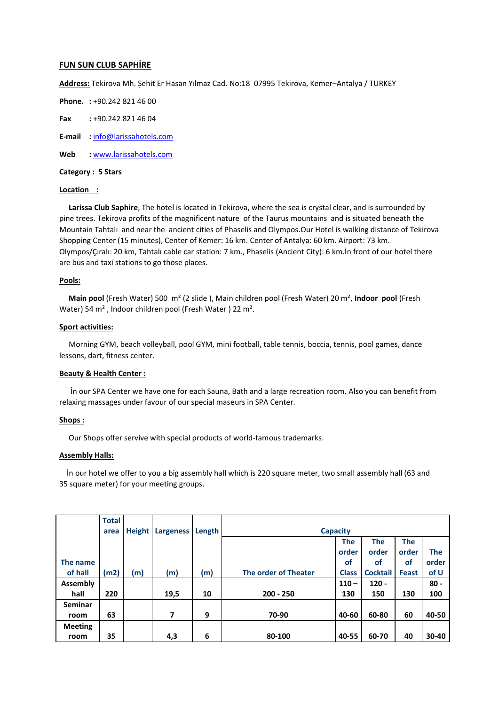## **FUN SUN CLUB SAPHİRE**

**Address:** Tekirova Mh. Şehit Er Hasan Yılmaz Cad. No:18 07995 Tekirova, Kemer–Antalya / TURKEY

**Phone. :** +90.242 821 46 00

**Fax :** +90.242 821 46 04

**E-mail :** [info@larissahotels.com](mailto:info@larissahotels.com)

**Web :** [www.larissahotels.com](http://www.larissahotels.com/)

**Category : 5 Stars**

## **Location :**

 **Larissa Club Saphire**, The hotel is located in Tekirova, where the sea is crystal clear, and is surrounded by pine trees. Tekirova profits of the magnificent nature of the Taurus mountains and is situated beneath the Mountain Tahtalı and near the ancient cities of Phaselis and Olympos.Our Hotel is walking distance of Tekirova Shopping Center (15 minutes), Center of Kemer: 16 km. Center of Antalya: 60 km. Airport: 73 km. Olympos/Çıralı: 20 km, Tahtalı cable car station: 7 km., Phaselis (Ancient City): 6 km.İn front of our hotel there are bus and taxi stations to go those places.

### **Pools:**

 **Main pool** (Fresh Water) 500 m² (2 slide ), Main children pool (Fresh Water) 20 m², **Indoor pool** (Fresh Water) 54 m² , Indoor children pool (Fresh Water ) 22 m².

### **Sport activities:**

 Morning GYM, beach volleyball, pool GYM, mini football, table tennis, boccia, tennis, pool games, dance lessons, dart, fitness center.

## **Beauty & Health Center :**

 İn our SPA Center we have one for each Sauna, Bath and a large recreation room. Also you can benefit from relaxing massages under favour of our special maseurs in SPA Center.

### **Shops :**

Our Shops offer servive with special products of world-famous trademarks.

### **Assembly Halls:**

 İn our hotel we offer to you a big assembly hall which is 220 square meter, two small assembly hall (63 and 35 square meter) for your meeting groups.

|                | <b>Total</b> |               |                  |        |                      |              |                 |              |            |
|----------------|--------------|---------------|------------------|--------|----------------------|--------------|-----------------|--------------|------------|
|                | area         | <b>Height</b> | <b>Largeness</b> | Length | <b>Capacity</b>      |              |                 |              |            |
|                |              |               |                  |        |                      | <b>The</b>   | <b>The</b>      | <b>The</b>   |            |
|                |              |               |                  |        |                      | order        | order           | order        | <b>The</b> |
| The name       |              |               |                  |        |                      | <b>of</b>    | <b>of</b>       | <b>of</b>    | order      |
| of hall        | (m2)         | (m)           | (m)              | (m)    | The order of Theater | <b>Class</b> | <b>Cocktail</b> | <b>Feast</b> | of U       |
| Assembly       |              |               |                  |        |                      | $110 -$      | $120 -$         |              | $80 -$     |
| hall           | 220          |               | 19,5             | 10     | $200 - 250$          | 130          | 150             | 130          | 100        |
| Seminar        |              |               |                  |        |                      |              |                 |              |            |
| room           | 63           |               | 7                | 9      | 70-90                | 40-60        | 60-80           | 60           | 40-50      |
| <b>Meeting</b> |              |               |                  |        |                      |              |                 |              |            |
| room           | 35           |               | 4,3              | 6      | 80-100               | 40-55        | 60-70           | 40           | 30-40      |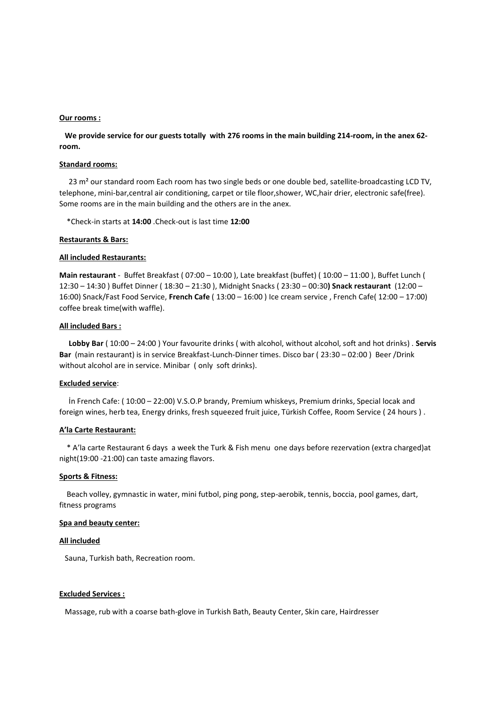#### **Our rooms :**

 **We provide service for our guests totally with 276 rooms in the main building 214-room, in the anex 62 room.**

## **Standard rooms:**

23 m<sup>2</sup> our standard room Each room has two single beds or one double bed, satellite-broadcasting LCD TV, telephone, mini-bar,central air conditioning, carpet or tile floor,shower, WC,hair drier, electronic safe(free). Some rooms are in the main building and the others are in the anex.

\*Check-in starts at **14:00** .Check-out is last time **12:00**

#### **Restaurants & Bars:**

#### **All included Restaurants:**

**Main restaurant** - Buffet Breakfast ( 07:00 – 10:00 ), Late breakfast (buffet) ( 10:00 – 11:00 ), Buffet Lunch ( 12:30 – 14:30 ) Buffet Dinner ( 18:30 – 21:30 ), Midnight Snacks ( 23:30 – 00:30**) Snack restaurant** (12:00 – 16:00) Snack/Fast Food Service, **French Cafe** ( 13:00 – 16:00 ) Ice cream service , French Cafe( 12:00 – 17:00) coffee break time(with waffle).

### **All included Bars :**

 **Lobby Bar** ( 10:00 – 24:00 ) Your favourite drinks ( with alcohol, without alcohol, soft and hot drinks) . **Servis Bar** (main restaurant) is in service Breakfast-Lunch-Dinner times. Disco bar ( 23:30 – 02:00 ) Beer /Drink without alcohol are in service. Minibar ( only soft drinks).

## **Excluded service**:

 İn French Cafe: ( 10:00 – 22:00) V.S.O.P brandy, Premium whiskeys, Premium drinks, Special locak and foreign wines, herb tea, Energy drinks, fresh squeezed fruit juice, Türkish Coffee, Room Service ( 24 hours ) .

#### **A'la Carte Restaurant:**

 \* A'la carte Restaurant 6 days a week the Turk & Fish menu one days before rezervation (extra charged)at night(19:00 -21:00) can taste amazing flavors.

### **Sports & Fitness:**

 Beach volley, gymnastic in water, mini futbol, ping pong, step-aerobik, tennis, boccia, pool games, dart, fitness programs

#### **Spa and beauty center:**

#### **All included**

Sauna, Turkish bath, Recreation room.

#### **Excluded Services :**

Massage, rub with a coarse bath-glove in Turkish Bath, Beauty Center, Skin care, Hairdresser